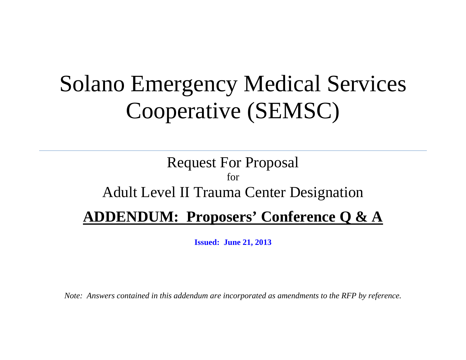## Solano Emergency Medical Services Cooperative (SEMSC)

## Request For Proposal for Adult Level II Trauma Center Designation **ADDENDUM: Proposers' Conference Q & A**

**Issued: June 21, 2013**

*Note: Answers contained in this addendum are incorporated as amendments to the RFP by reference.*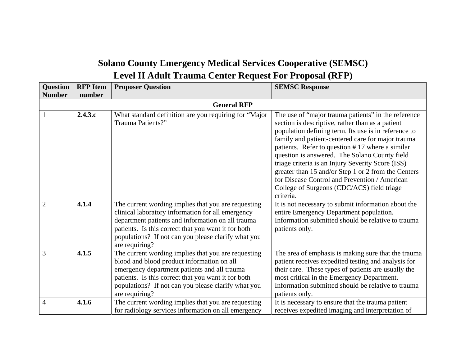## **Solano County Emergency Medical Services Cooperative (SEMSC) Level II Adult Trauma Center Request For Proposal (RFP)**

| <b>Question</b> | <b>RFP</b> Item | <b>Proposer Question</b>                                                                                                                                                                                                                                                                      | <b>SEMSC Response</b>                                                                                                                                                                                                                                                                                                                                                                                                                                                                                                                            |
|-----------------|-----------------|-----------------------------------------------------------------------------------------------------------------------------------------------------------------------------------------------------------------------------------------------------------------------------------------------|--------------------------------------------------------------------------------------------------------------------------------------------------------------------------------------------------------------------------------------------------------------------------------------------------------------------------------------------------------------------------------------------------------------------------------------------------------------------------------------------------------------------------------------------------|
| <b>Number</b>   | number          |                                                                                                                                                                                                                                                                                               |                                                                                                                                                                                                                                                                                                                                                                                                                                                                                                                                                  |
|                 |                 | <b>General RFP</b>                                                                                                                                                                                                                                                                            |                                                                                                                                                                                                                                                                                                                                                                                                                                                                                                                                                  |
|                 | 2.4.3.c         | What standard definition are you requiring for "Major<br>Trauma Patients?"                                                                                                                                                                                                                    | The use of "major trauma patients" in the reference<br>section is descriptive, rather than as a patient<br>population defining term. Its use is in reference to<br>family and patient-centered care for major trauma<br>patients. Refer to question #17 where a similar<br>question is answered. The Solano County field<br>triage criteria is an Injury Severity Score (ISS)<br>greater than 15 and/or Step 1 or 2 from the Centers<br>for Disease Control and Prevention / American<br>College of Surgeons (CDC/ACS) field triage<br>criteria. |
| $\overline{2}$  | 4.1.4           | The current wording implies that you are requesting<br>clinical laboratory information for all emergency<br>department patients and information on all trauma<br>patients. Is this correct that you want it for both<br>populations? If not can you please clarify what you<br>are requiring? | It is not necessary to submit information about the<br>entire Emergency Department population.<br>Information submitted should be relative to trauma<br>patients only.                                                                                                                                                                                                                                                                                                                                                                           |
| 3               | 4.1.5           | The current wording implies that you are requesting<br>blood and blood product information on all<br>emergency department patients and all trauma<br>patients. Is this correct that you want it for both<br>populations? If not can you please clarify what you<br>are requiring?             | The area of emphasis is making sure that the trauma<br>patient receives expedited testing and analysis for<br>their care. These types of patients are usually the<br>most critical in the Emergency Department.<br>Information submitted should be relative to trauma<br>patients only.                                                                                                                                                                                                                                                          |
| $\overline{4}$  | 4.1.6           | The current wording implies that you are requesting<br>for radiology services information on all emergency                                                                                                                                                                                    | It is necessary to ensure that the trauma patient<br>receives expedited imaging and interpretation of                                                                                                                                                                                                                                                                                                                                                                                                                                            |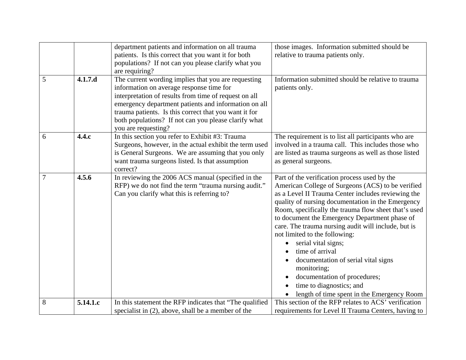|   |          | department patients and information on all trauma                      | those images. Information submitted should be                                                             |
|---|----------|------------------------------------------------------------------------|-----------------------------------------------------------------------------------------------------------|
|   |          | patients. Is this correct that you want it for both                    | relative to trauma patients only.                                                                         |
|   |          | populations? If not can you please clarify what you                    |                                                                                                           |
|   |          | are requiring?                                                         |                                                                                                           |
| 5 | 4.1.7.d  | The current wording implies that you are requesting                    | Information submitted should be relative to trauma                                                        |
|   |          | information on average response time for                               | patients only.                                                                                            |
|   |          | interpretation of results from time of request on all                  |                                                                                                           |
|   |          | emergency department patients and information on all                   |                                                                                                           |
|   |          | trauma patients. Is this correct that you want it for                  |                                                                                                           |
|   |          | both populations? If not can you please clarify what                   |                                                                                                           |
| 6 | 4.4.c    | you are requesting?<br>In this section you refer to Exhibit #3: Trauma |                                                                                                           |
|   |          | Surgeons, however, in the actual exhibit the term used                 | The requirement is to list all participants who are<br>involved in a trauma call. This includes those who |
|   |          | is General Surgeons. We are assuming that you only                     | are listed as trauma surgeons as well as those listed                                                     |
|   |          | want trauma surgeons listed. Is that assumption                        | as general surgeons.                                                                                      |
|   |          | correct?                                                               |                                                                                                           |
| 7 | 4.5.6    | In reviewing the 2006 ACS manual (specified in the                     | Part of the verification process used by the                                                              |
|   |          | RFP) we do not find the term "trauma nursing audit."                   | American College of Surgeons (ACS) to be verified                                                         |
|   |          | Can you clarify what this is referring to?                             | as a Level II Trauma Center includes reviewing the                                                        |
|   |          |                                                                        | quality of nursing documentation in the Emergency                                                         |
|   |          |                                                                        | Room, specifically the trauma flow sheet that's used                                                      |
|   |          |                                                                        | to document the Emergency Department phase of                                                             |
|   |          |                                                                        | care. The trauma nursing audit will include, but is                                                       |
|   |          |                                                                        | not limited to the following:                                                                             |
|   |          |                                                                        | serial vital signs;                                                                                       |
|   |          |                                                                        | time of arrival                                                                                           |
|   |          |                                                                        | documentation of serial vital signs<br>monitoring;                                                        |
|   |          |                                                                        | documentation of procedures;                                                                              |
|   |          |                                                                        | time to diagnostics; and                                                                                  |
|   |          |                                                                        | length of time spent in the Emergency Room                                                                |
| 8 | 5.14.1.c | In this statement the RFP indicates that "The qualified"               | This section of the RFP relates to ACS' verification                                                      |
|   |          | specialist in (2), above, shall be a member of the                     | requirements for Level II Trauma Centers, having to                                                       |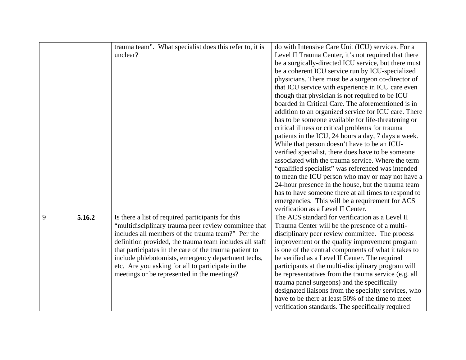|   |        | trauma team". What specialist does this refer to, it is | do with Intensive Care Unit (ICU) services. For a    |
|---|--------|---------------------------------------------------------|------------------------------------------------------|
|   |        | unclear?                                                | Level II Trauma Center, it's not required that there |
|   |        |                                                         | be a surgically-directed ICU service, but there must |
|   |        |                                                         | be a coherent ICU service run by ICU-specialized     |
|   |        |                                                         | physicians. There must be a surgeon co-director of   |
|   |        |                                                         | that ICU service with experience in ICU care even    |
|   |        |                                                         | though that physician is not required to be ICU      |
|   |        |                                                         | boarded in Critical Care. The aforementioned is in   |
|   |        |                                                         | addition to an organized service for ICU care. There |
|   |        |                                                         | has to be someone available for life-threatening or  |
|   |        |                                                         | critical illness or critical problems for trauma     |
|   |        |                                                         | patients in the ICU, 24 hours a day, 7 days a week.  |
|   |        |                                                         | While that person doesn't have to be an ICU-         |
|   |        |                                                         | verified specialist, there does have to be someone   |
|   |        |                                                         | associated with the trauma service. Where the term   |
|   |        |                                                         | "qualified specialist" was referenced was intended   |
|   |        |                                                         | to mean the ICU person who may or may not have a     |
|   |        |                                                         | 24-hour presence in the house, but the trauma team   |
|   |        |                                                         | has to have someone there at all times to respond to |
|   |        |                                                         | emergencies. This will be a requirement for ACS      |
|   |        |                                                         | verification as a Level II Center.                   |
| 9 | 5.16.2 | Is there a list of required participants for this       | The ACS standard for verification as a Level II      |
|   |        | "multidisciplinary trauma peer review committee that    | Trauma Center will be the presence of a multi-       |
|   |        | includes all members of the trauma team?" Per the       | disciplinary peer review committee. The process      |
|   |        | definition provided, the trauma team includes all staff | improvement or the quality improvement program       |
|   |        | that participates in the care of the trauma patient to  | is one of the central components of what it takes to |
|   |        | include phlebotomists, emergency department techs,      | be verified as a Level II Center. The required       |
|   |        | etc. Are you asking for all to participate in the       | participants at the multi-disciplinary program will  |
|   |        | meetings or be represented in the meetings?             | be representatives from the trauma service (e.g. all |
|   |        |                                                         | trauma panel surgeons) and the specifically          |
|   |        |                                                         | designated liaisons from the specialty services, who |
|   |        |                                                         | have to be there at least 50% of the time to meet    |
|   |        |                                                         | verification standards. The specifically required    |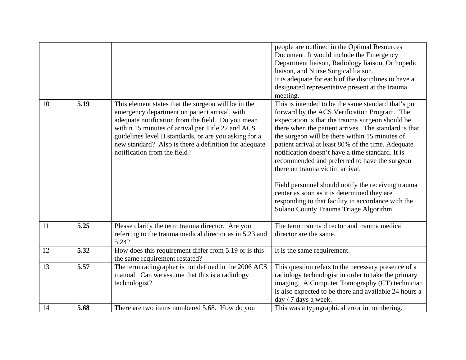|    |      |                                                                                                                                                                                                                                                                                                                                                                   | people are outlined in the Optimal Resources<br>Document. It would include the Emergency<br>Department liaison, Radiology liaison, Orthopedic<br>liaison, and Nurse Surgical liaison.<br>It is adequate for each of the disciplines to have a<br>designated representative present at the trauma<br>meeting.                                                                                                                                                                                                                                                                                                                                                         |
|----|------|-------------------------------------------------------------------------------------------------------------------------------------------------------------------------------------------------------------------------------------------------------------------------------------------------------------------------------------------------------------------|----------------------------------------------------------------------------------------------------------------------------------------------------------------------------------------------------------------------------------------------------------------------------------------------------------------------------------------------------------------------------------------------------------------------------------------------------------------------------------------------------------------------------------------------------------------------------------------------------------------------------------------------------------------------|
| 10 | 5.19 | This element states that the surgeon will be in the<br>emergency department on patient arrival, with<br>adequate notification from the field. Do you mean<br>within 15 minutes of arrival per Title 22 and ACS<br>guidelines level II standards, or are you asking for a<br>new standard? Also is there a definition for adequate<br>notification from the field? | This is intended to be the same standard that's put<br>forward by the ACS Verification Program. The<br>expectation is that the trauma surgeon should be<br>there when the patient arrives. The standard is that<br>the surgeon will be there within 15 minutes of<br>patient arrival at least 80% of the time. Adequate<br>notification doesn't have a time standard. It is<br>recommended and preferred to have the surgeon<br>there on trauma victim arrival.<br>Field personnel should notify the receiving trauma<br>center as soon as it is determined they are<br>responding to that facility in accordance with the<br>Solano County Trauma Triage Algorithm. |
| 11 | 5.25 | Please clarify the term trauma director. Are you<br>referring to the trauma medical director as in 5.23 and<br>5.24?                                                                                                                                                                                                                                              | The term trauma director and trauma medical<br>director are the same.                                                                                                                                                                                                                                                                                                                                                                                                                                                                                                                                                                                                |
| 12 | 5.32 | How does this requirement differ from 5.19 or is this<br>the same requirement restated?                                                                                                                                                                                                                                                                           | It is the same requirement.                                                                                                                                                                                                                                                                                                                                                                                                                                                                                                                                                                                                                                          |
| 13 | 5.57 | The term radiographer is not defined in the 2006 ACS<br>manual. Can we assume that this is a radiology<br>technologist?                                                                                                                                                                                                                                           | This question refers to the necessary presence of a<br>radiology technologist in order to take the primary<br>imaging. A Computer Tomography (CT) technician<br>is also expected to be there and available 24 hours a<br>day / 7 days a week.                                                                                                                                                                                                                                                                                                                                                                                                                        |
| 14 | 5.68 | There are two items numbered 5.68. How do you                                                                                                                                                                                                                                                                                                                     | This was a typographical error in numbering.                                                                                                                                                                                                                                                                                                                                                                                                                                                                                                                                                                                                                         |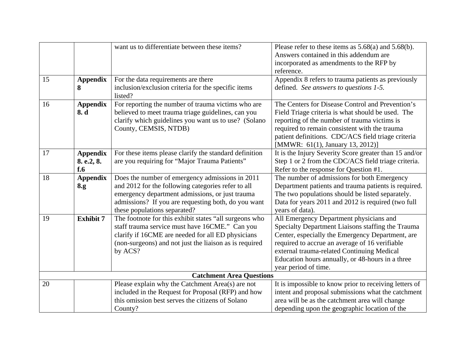|    |                  | want us to differentiate between these items?                  | Please refer to these items as $5.68(a)$ and $5.68(b)$ . |
|----|------------------|----------------------------------------------------------------|----------------------------------------------------------|
|    |                  |                                                                | Answers contained in this addendum are                   |
|    |                  |                                                                | incorporated as amendments to the RFP by                 |
|    |                  |                                                                | reference.                                               |
| 15 | <b>Appendix</b>  | For the data requirements are there                            | Appendix 8 refers to trauma patients as previously       |
|    | 8                | inclusion/exclusion criteria for the specific items<br>listed? | defined. See answers to questions 1-5.                   |
| 16 | <b>Appendix</b>  | For reporting the number of trauma victims who are             | The Centers for Disease Control and Prevention's         |
|    | 8. d             | believed to meet trauma triage guidelines, can you             | Field Triage criteria is what should be used. The        |
|    |                  | clarify which guidelines you want us to use? (Solano           | reporting of the number of trauma victims is             |
|    |                  | County, CEMSIS, NTDB)                                          | required to remain consistent with the trauma            |
|    |                  |                                                                | patient definitions. CDC/ACS field triage criteria       |
|    |                  |                                                                | [MMWR: 61(1), January 13, 2012)]                         |
| 17 | <b>Appendix</b>  | For these items please clarify the standard definition         | It is the Injury Severity Score greater than 15 and/or   |
|    | 8. e.2, 8.       | are you requiring for "Major Trauma Patients"                  | Step 1 or 2 from the CDC/ACS field triage criteria.      |
|    | $f_{\cdot}6$     |                                                                | Refer to the response for Question #1.                   |
| 18 | <b>Appendix</b>  | Does the number of emergency admissions in 2011                | The number of admissions for both Emergency              |
|    | 8.g              | and 2012 for the following categories refer to all             | Department patients and trauma patients is required.     |
|    |                  | emergency department admissions, or just trauma                | The two populations should be listed separately.         |
|    |                  | admissions? If you are requesting both, do you want            | Data for years 2011 and 2012 is required (two full       |
|    |                  | these populations separated?                                   | years of data).                                          |
| 19 | <b>Exhibit 7</b> | The footnote for this exhibit states "all surgeons who         | All Emergency Department physicians and                  |
|    |                  | staff trauma service must have 16CME." Can you                 | Specialty Department Liaisons staffing the Trauma        |
|    |                  | clarify if 16CME are needed for all ED physicians              | Center, especially the Emergency Department, are         |
|    |                  | (non-surgeons) and not just the liaison as is required         | required to accrue an average of 16 verifiable           |
|    |                  | by ACS?                                                        | external trauma-related Continuing Medical               |
|    |                  |                                                                | Education hours annually, or 48-hours in a three         |
|    |                  |                                                                | year period of time.                                     |
|    |                  | <b>Catchment Area Questions</b>                                |                                                          |
| 20 |                  | Please explain why the Catchment Area(s) are not               | It is impossible to know prior to receiving letters of   |
|    |                  | included in the Request for Proposal (RFP) and how             | intent and proposal submissions what the catchment       |
|    |                  | this omission best serves the citizens of Solano               | area will be as the catchment area will change           |
|    |                  | County?                                                        | depending upon the geographic location of the            |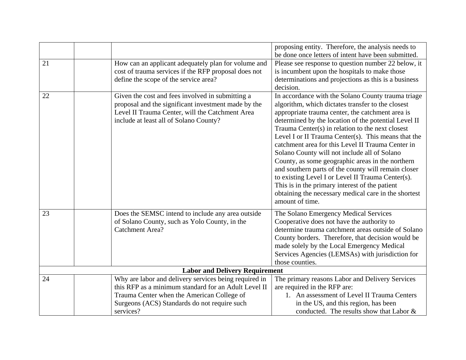|    |                                                       | proposing entity. Therefore, the analysis needs to   |
|----|-------------------------------------------------------|------------------------------------------------------|
|    |                                                       | be done once letters of intent have been submitted.  |
| 21 | How can an applicant adequately plan for volume and   | Please see response to question number 22 below, it  |
|    | cost of trauma services if the RFP proposal does not  | is incumbent upon the hospitals to make those        |
|    | define the scope of the service area?                 | determinations and projections as this is a business |
|    |                                                       | decision.                                            |
| 22 | Given the cost and fees involved in submitting a      | In accordance with the Solano County trauma triage   |
|    | proposal and the significant investment made by the   | algorithm, which dictates transfer to the closest    |
|    | Level II Trauma Center, will the Catchment Area       | appropriate trauma center, the catchment area is     |
|    | include at least all of Solano County?                | determined by the location of the potential Level II |
|    |                                                       | Trauma Center(s) in relation to the next closest     |
|    |                                                       | Level I or II Trauma Center(s). This means that the  |
|    |                                                       | catchment area for this Level II Trauma Center in    |
|    |                                                       | Solano County will not include all of Solano         |
|    |                                                       | County, as some geographic areas in the northern     |
|    |                                                       | and southern parts of the county will remain closer  |
|    |                                                       | to existing Level I or Level II Trauma Center(s).    |
|    |                                                       | This is in the primary interest of the patient       |
|    |                                                       | obtaining the necessary medical care in the shortest |
|    |                                                       | amount of time.                                      |
|    |                                                       |                                                      |
| 23 | Does the SEMSC intend to include any area outside     | The Solano Emergency Medical Services                |
|    | of Solano County, such as Yolo County, in the         | Cooperative does not have the authority to           |
|    | Catchment Area?                                       | determine trauma catchment areas outside of Solano   |
|    |                                                       | County borders. Therefore, that decision would be    |
|    |                                                       | made solely by the Local Emergency Medical           |
|    |                                                       | Services Agencies (LEMSAs) with jurisdiction for     |
|    |                                                       | those counties.                                      |
|    | <b>Labor and Delivery Requirement</b>                 |                                                      |
| 24 | Why are labor and delivery services being required in | The primary reasons Labor and Delivery Services      |
|    | this RFP as a minimum standard for an Adult Level II  | are required in the RFP are:                         |
|    | Trauma Center when the American College of            | 1. An assessment of Level II Trauma Centers          |
|    | Surgeons (ACS) Standards do not require such          | in the US, and this region, has been                 |
|    | services?                                             | conducted. The results show that Labor &             |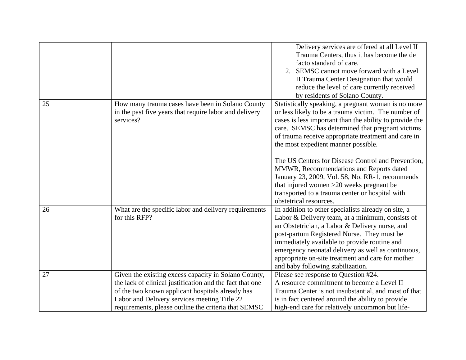|    |                                                          | Delivery services are offered at all Level II           |
|----|----------------------------------------------------------|---------------------------------------------------------|
|    |                                                          | Trauma Centers, thus it has become the de               |
|    |                                                          | facto standard of care.                                 |
|    |                                                          | SEMSC cannot move forward with a Level                  |
|    |                                                          | II Trauma Center Designation that would                 |
|    |                                                          | reduce the level of care currently received             |
|    |                                                          | by residents of Solano County.                          |
| 25 | How many trauma cases have been in Solano County         | Statistically speaking, a pregnant woman is no more     |
|    | in the past five years that require labor and delivery   | or less likely to be a trauma victim. The number of     |
|    | services?                                                | cases is less important than the ability to provide the |
|    |                                                          | care. SEMSC has determined that pregnant victims        |
|    |                                                          | of trauma receive appropriate treatment and care in     |
|    |                                                          | the most expedient manner possible.                     |
|    |                                                          |                                                         |
|    |                                                          | The US Centers for Disease Control and Prevention,      |
|    |                                                          | MMWR, Recommendations and Reports dated                 |
|    |                                                          | January 23, 2009, Vol. 58, No. RR-1, recommends         |
|    |                                                          | that injured women $>20$ weeks pregnant be              |
|    |                                                          | transported to a trauma center or hospital with         |
|    |                                                          | obstetrical resources.                                  |
| 26 | What are the specific labor and delivery requirements    | In addition to other specialists already on site, a     |
|    | for this RFP?                                            | Labor & Delivery team, at a minimum, consists of        |
|    |                                                          | an Obstetrician, a Labor & Delivery nurse, and          |
|    |                                                          | post-partum Registered Nurse. They must be              |
|    |                                                          | immediately available to provide routine and            |
|    |                                                          | emergency neonatal delivery as well as continuous,      |
|    |                                                          | appropriate on-site treatment and care for mother       |
|    |                                                          | and baby following stabilization.                       |
| 27 | Given the existing excess capacity in Solano County,     | Please see response to Question #24.                    |
|    | the lack of clinical justification and the fact that one | A resource commitment to become a Level II              |
|    | of the two known applicant hospitals already has         | Trauma Center is not insubstantial, and most of that    |
|    | Labor and Delivery services meeting Title 22             | is in fact centered around the ability to provide       |
|    | requirements, please outline the criteria that SEMSC     | high-end care for relatively uncommon but life-         |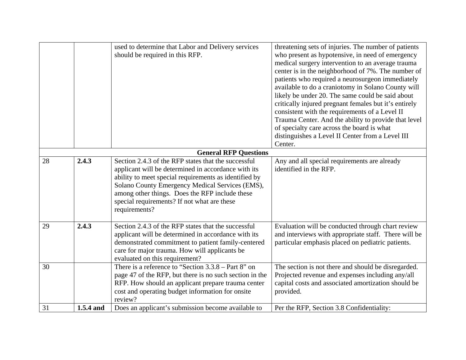|    |           | used to determine that Labor and Delivery services<br>should be required in this RFP.                                                                                                                                                                                                                                                    | threatening sets of injuries. The number of patients<br>who present as hypotensive, in need of emergency<br>medical surgery intervention to an average trauma<br>center is in the neighborhood of 7%. The number of<br>patients who required a neurosurgeon immediately<br>available to do a craniotomy in Solano County will<br>likely be under 20. The same could be said about<br>critically injured pregnant females but it's entirely<br>consistent with the requirements of a Level II<br>Trauma Center. And the ability to provide that level<br>of specialty care across the board is what<br>distinguishes a Level II Center from a Level III<br>Center. |
|----|-----------|------------------------------------------------------------------------------------------------------------------------------------------------------------------------------------------------------------------------------------------------------------------------------------------------------------------------------------------|-------------------------------------------------------------------------------------------------------------------------------------------------------------------------------------------------------------------------------------------------------------------------------------------------------------------------------------------------------------------------------------------------------------------------------------------------------------------------------------------------------------------------------------------------------------------------------------------------------------------------------------------------------------------|
|    |           | <b>General RFP Questions</b>                                                                                                                                                                                                                                                                                                             |                                                                                                                                                                                                                                                                                                                                                                                                                                                                                                                                                                                                                                                                   |
| 28 | 2.4.3     | Section 2.4.3 of the RFP states that the successful<br>applicant will be determined in accordance with its<br>ability to meet special requirements as identified by<br>Solano County Emergency Medical Services (EMS),<br>among other things. Does the RFP include these<br>special requirements? If not what are these<br>requirements? | Any and all special requirements are already<br>identified in the RFP.                                                                                                                                                                                                                                                                                                                                                                                                                                                                                                                                                                                            |
| 29 | 2.4.3     | Section 2.4.3 of the RFP states that the successful<br>applicant will be determined in accordance with its<br>demonstrated commitment to patient family-centered<br>care for major trauma. How will applicants be<br>evaluated on this requirement?                                                                                      | Evaluation will be conducted through chart review<br>and interviews with appropriate staff. There will be<br>particular emphasis placed on pediatric patients.                                                                                                                                                                                                                                                                                                                                                                                                                                                                                                    |
| 30 |           | There is a reference to "Section 3.3.8 – Part 8" on<br>page 47 of the RFP, but there is no such section in the<br>RFP. How should an applicant prepare trauma center<br>cost and operating budget information for onsite<br>review?                                                                                                      | The section is not there and should be disregarded.<br>Projected revenue and expenses including any/all<br>capital costs and associated amortization should be<br>provided.                                                                                                                                                                                                                                                                                                                                                                                                                                                                                       |
| 31 | 1.5.4 and | Does an applicant's submission become available to                                                                                                                                                                                                                                                                                       | Per the RFP, Section 3.8 Confidentiality:                                                                                                                                                                                                                                                                                                                                                                                                                                                                                                                                                                                                                         |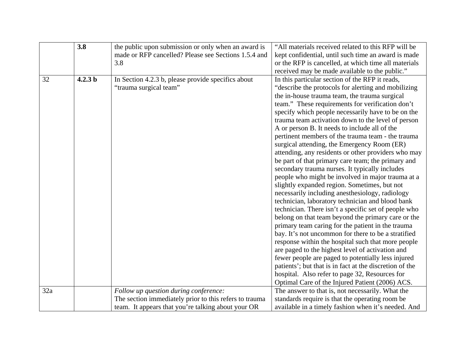|     | 3.8                | the public upon submission or only when an award is    | "All materials received related to this RFP will be     |
|-----|--------------------|--------------------------------------------------------|---------------------------------------------------------|
|     |                    | made or RFP cancelled? Please see Sections 1.5.4 and   | kept confidential, until such time an award is made     |
|     |                    | 3.8                                                    | or the RFP is cancelled, at which time all materials    |
|     |                    |                                                        | received may be made available to the public."          |
| 32  | 4.2.3 <sub>b</sub> | In Section 4.2.3 b, please provide specifics about     | In this particular section of the RFP it reads,         |
|     |                    | "trauma surgical team"                                 | "describe the protocols for alerting and mobilizing     |
|     |                    |                                                        | the in-house trauma team, the trauma surgical           |
|     |                    |                                                        | team." These requirements for verification don't        |
|     |                    |                                                        | specify which people necessarily have to be on the      |
|     |                    |                                                        | trauma team activation down to the level of person      |
|     |                    |                                                        | A or person B. It needs to include all of the           |
|     |                    |                                                        | pertinent members of the trauma team - the trauma       |
|     |                    |                                                        | surgical attending, the Emergency Room (ER)             |
|     |                    |                                                        | attending, any residents or other providers who may     |
|     |                    |                                                        | be part of that primary care team; the primary and      |
|     |                    |                                                        | secondary trauma nurses. It typically includes          |
|     |                    |                                                        | people who might be involved in major trauma at a       |
|     |                    |                                                        | slightly expanded region. Sometimes, but not            |
|     |                    |                                                        | necessarily including anesthesiology, radiology         |
|     |                    |                                                        | technician, laboratory technician and blood bank        |
|     |                    |                                                        | technician. There isn't a specific set of people who    |
|     |                    |                                                        | belong on that team beyond the primary care or the      |
|     |                    |                                                        | primary team caring for the patient in the trauma       |
|     |                    |                                                        | bay. It's not uncommon for there to be a stratified     |
|     |                    |                                                        | response within the hospital such that more people      |
|     |                    |                                                        | are paged to the highest level of activation and        |
|     |                    |                                                        | fewer people are paged to potentially less injured      |
|     |                    |                                                        | patients'; but that is in fact at the discretion of the |
|     |                    |                                                        | hospital. Also refer to page 32, Resources for          |
|     |                    |                                                        | Optimal Care of the Injured Patient (2006) ACS.         |
| 32a |                    | Follow up question during conference:                  | The answer to that is, not necessarily. What the        |
|     |                    | The section immediately prior to this refers to trauma | standards require is that the operating room be         |
|     |                    | team. It appears that you're talking about your OR     | available in a timely fashion when it's needed. And     |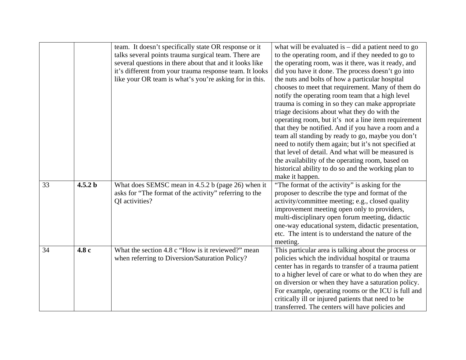|    |                    | team. It doesn't specifically state OR response or it<br>talks several points trauma surgical team. There are<br>several questions in there about that and it looks like<br>it's different from your trauma response team. It looks<br>like your OR team is what's you're asking for in this. | what will be evaluated is $-$ did a patient need to go<br>to the operating room, and if they needed to go to<br>the operating room, was it there, was it ready, and<br>did you have it done. The process doesn't go into<br>the nuts and bolts of how a particular hospital<br>chooses to meet that requirement. Many of them do<br>notify the operating room team that a high level<br>trauma is coming in so they can make appropriate<br>triage decisions about what they do with the<br>operating room, but it's not a line item requirement<br>that they be notified. And if you have a room and a<br>team all standing by ready to go, maybe you don't<br>need to notify them again; but it's not specified at<br>that level of detail. And what will be measured is<br>the availability of the operating room, based on<br>historical ability to do so and the working plan to<br>make it happen. |
|----|--------------------|-----------------------------------------------------------------------------------------------------------------------------------------------------------------------------------------------------------------------------------------------------------------------------------------------|----------------------------------------------------------------------------------------------------------------------------------------------------------------------------------------------------------------------------------------------------------------------------------------------------------------------------------------------------------------------------------------------------------------------------------------------------------------------------------------------------------------------------------------------------------------------------------------------------------------------------------------------------------------------------------------------------------------------------------------------------------------------------------------------------------------------------------------------------------------------------------------------------------|
| 33 | 4.5.2 <sub>b</sub> | What does SEMSC mean in 4.5.2 b (page 26) when it<br>asks for "The format of the activity" referring to the<br>QI activities?                                                                                                                                                                 | "The format of the activity" is asking for the<br>proposer to describe the type and format of the<br>activity/committee meeting; e.g., closed quality<br>improvement meeting open only to providers,<br>multi-disciplinary open forum meeting, didactic<br>one-way educational system, didactic presentation,<br>etc. The intent is to understand the nature of the<br>meeting.                                                                                                                                                                                                                                                                                                                                                                                                                                                                                                                          |
| 34 | 4.8 c              | What the section 4.8 c "How is it reviewed?" mean<br>when referring to Diversion/Saturation Policy?                                                                                                                                                                                           | This particular area is talking about the process or<br>policies which the individual hospital or trauma<br>center has in regards to transfer of a trauma patient<br>to a higher level of care or what to do when they are<br>on diversion or when they have a saturation policy.<br>For example, operating rooms or the ICU is full and<br>critically ill or injured patients that need to be<br>transferred. The centers will have policies and                                                                                                                                                                                                                                                                                                                                                                                                                                                        |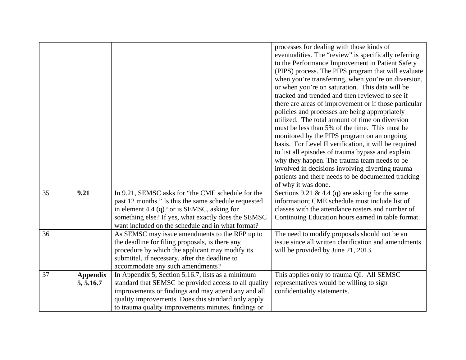|    |                 |                                                       | processes for dealing with those kinds of             |
|----|-----------------|-------------------------------------------------------|-------------------------------------------------------|
|    |                 |                                                       | eventualities. The "review" is specifically referring |
|    |                 |                                                       | to the Performance Improvement in Patient Safety      |
|    |                 |                                                       | (PIPS) process. The PIPS program that will evaluate   |
|    |                 |                                                       | when you're transferring, when you're on diversion,   |
|    |                 |                                                       | or when you're on saturation. This data will be       |
|    |                 |                                                       | tracked and trended and then reviewed to see if       |
|    |                 |                                                       | there are areas of improvement or if those particular |
|    |                 |                                                       | policies and processes are being appropriately        |
|    |                 |                                                       | utilized. The total amount of time on diversion       |
|    |                 |                                                       | must be less than 5% of the time. This must be        |
|    |                 |                                                       | monitored by the PIPS program on an ongoing           |
|    |                 |                                                       | basis. For Level II verification, it will be required |
|    |                 |                                                       | to list all episodes of trauma bypass and explain     |
|    |                 |                                                       | why they happen. The trauma team needs to be          |
|    |                 |                                                       | involved in decisions involving diverting trauma      |
|    |                 |                                                       | patients and there needs to be documented tracking    |
|    |                 |                                                       | of why it was done.                                   |
| 35 | 9.21            | In 9.21, SEMSC asks for "the CME schedule for the     | Sections 9.21 & 4.4 (q) are asking for the same       |
|    |                 | past 12 months." Is this the same schedule requested  | information; CME schedule must include list of        |
|    |                 | in element 4.4 (q)? or is SEMSC, asking for           | classes with the attendance rosters and number of     |
|    |                 | something else? If yes, what exactly does the SEMSC   | Continuing Education hours earned in table format.    |
|    |                 | want included on the schedule and in what format?     |                                                       |
| 36 |                 | As SEMSC may issue amendments to the RFP up to        | The need to modify proposals should not be an         |
|    |                 | the deadline for filing proposals, is there any       | issue since all written clarification and amendments  |
|    |                 | procedure by which the applicant may modify its       | will be provided by June 21, 2013.                    |
|    |                 | submittal, if necessary, after the deadline to        |                                                       |
|    |                 | accommodate any such amendments?                      |                                                       |
| 37 | <b>Appendix</b> | In Appendix 5, Section 5.16.7, lists as a minimum     | This applies only to trauma QI. All SEMSC             |
|    | 5, 5.16.7       | standard that SEMSC be provided access to all quality | representatives would be willing to sign              |
|    |                 | improvements or findings and may attend any and all   | confidentiality statements.                           |
|    |                 | quality improvements. Does this standard only apply   |                                                       |
|    |                 | to trauma quality improvements minutes, findings or   |                                                       |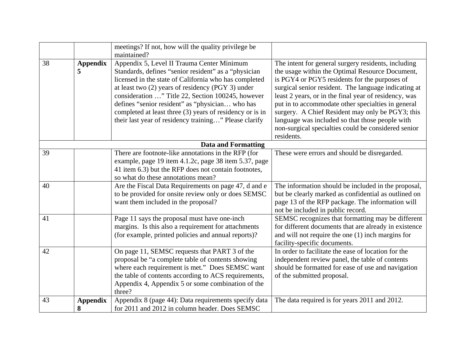|    |                      | meetings? If not, how will the quality privilege be<br>maintained?                                                                                                                                                                                                                                                                                                                                                                            |                                                                                                                                                                                                                                                                                                                                                                                                                                                                                                            |
|----|----------------------|-----------------------------------------------------------------------------------------------------------------------------------------------------------------------------------------------------------------------------------------------------------------------------------------------------------------------------------------------------------------------------------------------------------------------------------------------|------------------------------------------------------------------------------------------------------------------------------------------------------------------------------------------------------------------------------------------------------------------------------------------------------------------------------------------------------------------------------------------------------------------------------------------------------------------------------------------------------------|
| 38 | <b>Appendix</b><br>5 | Appendix 5, Level II Trauma Center Minimum<br>Standards, defines "senior resident" as a "physician<br>licensed in the state of California who has completed<br>at least two (2) years of residency (PGY 3) under<br>consideration " Title 22, Section 100245, however<br>defines "senior resident" as "physician who has<br>completed at least three (3) years of residency or is in<br>their last year of residency training" Please clarify | The intent for general surgery residents, including<br>the usage within the Optimal Resource Document,<br>is PGY4 or PGY5 residents for the purposes of<br>surgical senior resident. The language indicating at<br>least 2 years, or in the final year of residency, was<br>put in to accommodate other specialties in general<br>surgery. A Chief Resident may only be PGY3; this<br>language was included so that those people with<br>non-surgical specialties could be considered senior<br>residents. |
|    |                      | <b>Data and Formatting</b>                                                                                                                                                                                                                                                                                                                                                                                                                    |                                                                                                                                                                                                                                                                                                                                                                                                                                                                                                            |
| 39 |                      | There are footnote-like annotations in the RFP (for<br>example, page 19 item 4.1.2c, page 38 item 5.37, page<br>41 item 6.3) but the RFP does not contain footnotes,<br>so what do these annotations mean?                                                                                                                                                                                                                                    | These were errors and should be disregarded.                                                                                                                                                                                                                                                                                                                                                                                                                                                               |
| 40 |                      | Are the Fiscal Data Requirements on page 47, d and e<br>to be provided for onsite review only or does SEMSC<br>want them included in the proposal?                                                                                                                                                                                                                                                                                            | The information should be included in the proposal,<br>but be clearly marked as confidential as outlined on<br>page 13 of the RFP package. The information will<br>not be included in public record.                                                                                                                                                                                                                                                                                                       |
| 41 |                      | Page 11 says the proposal must have one-inch<br>margins. Is this also a requirement for attachments<br>(for example, printed policies and annual reports)?                                                                                                                                                                                                                                                                                    | SEMSC recognizes that formatting may be different<br>for different documents that are already in existence<br>and will not require the one $(1)$ inch margins for<br>facility-specific documents.                                                                                                                                                                                                                                                                                                          |
| 42 |                      | On page 11, SEMSC requests that PART 3 of the<br>proposal be "a complete table of contents showing<br>where each requirement is met." Does SEMSC want<br>the table of contents according to ACS requirements,<br>Appendix 4, Appendix 5 or some combination of the<br>three?                                                                                                                                                                  | In order to facilitate the ease of location for the<br>independent review panel, the table of contents<br>should be formatted for ease of use and navigation<br>of the submitted proposal.                                                                                                                                                                                                                                                                                                                 |
| 43 | <b>Appendix</b>      | Appendix 8 (page 44): Data requirements specify data                                                                                                                                                                                                                                                                                                                                                                                          | The data required is for years 2011 and 2012.                                                                                                                                                                                                                                                                                                                                                                                                                                                              |
|    | 8                    | for 2011 and 2012 in column header. Does SEMSC                                                                                                                                                                                                                                                                                                                                                                                                |                                                                                                                                                                                                                                                                                                                                                                                                                                                                                                            |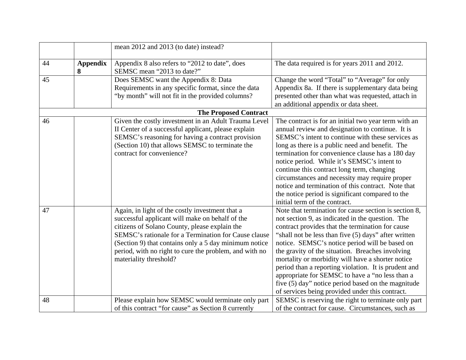|    |                      | mean 2012 and 2013 (to date) instead?                                                                                                                                                                                                                                                                                                                    |                                                                                                                                                                                                                                                                                                                                                                                                                                                                                                                                                                                                      |
|----|----------------------|----------------------------------------------------------------------------------------------------------------------------------------------------------------------------------------------------------------------------------------------------------------------------------------------------------------------------------------------------------|------------------------------------------------------------------------------------------------------------------------------------------------------------------------------------------------------------------------------------------------------------------------------------------------------------------------------------------------------------------------------------------------------------------------------------------------------------------------------------------------------------------------------------------------------------------------------------------------------|
| 44 | <b>Appendix</b><br>8 | Appendix 8 also refers to "2012 to date", does<br>SEMSC mean "2013 to date?"                                                                                                                                                                                                                                                                             | The data required is for years 2011 and 2012.                                                                                                                                                                                                                                                                                                                                                                                                                                                                                                                                                        |
| 45 |                      | Does SEMSC want the Appendix 8: Data<br>Requirements in any specific format, since the data<br>"by month" will not fit in the provided columns?                                                                                                                                                                                                          | Change the word "Total" to "Average" for only<br>Appendix 8a. If there is supplementary data being<br>presented other than what was requested, attach in<br>an additional appendix or data sheet.                                                                                                                                                                                                                                                                                                                                                                                                    |
|    |                      | <b>The Proposed Contract</b>                                                                                                                                                                                                                                                                                                                             |                                                                                                                                                                                                                                                                                                                                                                                                                                                                                                                                                                                                      |
| 46 |                      | Given the costly investment in an Adult Trauma Level<br>II Center of a successful applicant, please explain<br>SEMSC's reasoning for having a contract provision<br>(Section 10) that allows SEMSC to terminate the<br>contract for convenience?                                                                                                         | The contract is for an initial two year term with an<br>annual review and designation to continue. It is<br>SEMSC's intent to continue with these services as<br>long as there is a public need and benefit. The<br>termination for convenience clause has a 180 day<br>notice period. While it's SEMSC's intent to<br>continue this contract long term, changing<br>circumstances and necessity may require proper<br>notice and termination of this contract. Note that<br>the notice period is significant compared to the<br>initial term of the contract.                                       |
| 47 |                      | Again, in light of the costly investment that a<br>successful applicant will make on behalf of the<br>citizens of Solano County, please explain the<br>SEMSC's rationale for a Termination for Cause clause<br>(Section 9) that contains only a 5 day minimum notice<br>period, with no right to cure the problem, and with no<br>materiality threshold? | Note that termination for cause section is section 8,<br>not section 9, as indicated in the question. The<br>contract provides that the termination for cause<br>"shall not be less than five (5) days" after written<br>notice. SEMSC's notice period will be based on<br>the gravity of the situation. Breaches involving<br>mortality or morbidity will have a shorter notice<br>period than a reporting violation. It is prudent and<br>appropriate for SEMSC to have a "no less than a<br>five (5) day" notice period based on the magnitude<br>of services being provided under this contract. |
| 48 |                      | Please explain how SEMSC would terminate only part<br>of this contract "for cause" as Section 8 currently                                                                                                                                                                                                                                                | SEMSC is reserving the right to terminate only part<br>of the contract for cause. Circumstances, such as                                                                                                                                                                                                                                                                                                                                                                                                                                                                                             |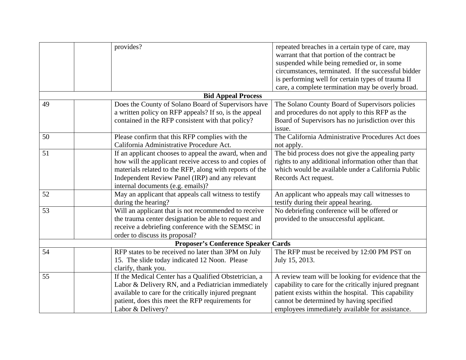|                           | provides?                                               | repeated breaches in a certain type of care, may<br>warrant that that portion of the contract be<br>suspended while being remedied or, in some |  |  |  |
|---------------------------|---------------------------------------------------------|------------------------------------------------------------------------------------------------------------------------------------------------|--|--|--|
|                           |                                                         | circumstances, terminated. If the successful bidder                                                                                            |  |  |  |
|                           |                                                         | is performing well for certain types of trauma II                                                                                              |  |  |  |
|                           |                                                         | care, a complete termination may be overly broad.                                                                                              |  |  |  |
| <b>Bid Appeal Process</b> |                                                         |                                                                                                                                                |  |  |  |
| 49                        | Does the County of Solano Board of Supervisors have     | The Solano County Board of Supervisors policies                                                                                                |  |  |  |
|                           | a written policy on RFP appeals? If so, is the appeal   | and procedures do not apply to this RFP as the                                                                                                 |  |  |  |
|                           | contained in the RFP consistent with that policy?       | Board of Supervisors has no jurisdiction over this                                                                                             |  |  |  |
|                           |                                                         | issue.                                                                                                                                         |  |  |  |
| 50                        | Please confirm that this RFP complies with the          | The California Administrative Procedures Act does                                                                                              |  |  |  |
|                           | California Administrative Procedure Act.                | not apply.                                                                                                                                     |  |  |  |
| 51                        | If an applicant chooses to appeal the award, when and   | The bid process does not give the appealing party                                                                                              |  |  |  |
|                           | how will the applicant receive access to and copies of  | rights to any additional information other than that                                                                                           |  |  |  |
|                           | materials related to the RFP, along with reports of the | which would be available under a California Public                                                                                             |  |  |  |
|                           | Independent Review Panel (IRP) and any relevant         | Records Act request.                                                                                                                           |  |  |  |
|                           | internal documents (e.g. emails)?                       |                                                                                                                                                |  |  |  |
| 52                        | May an applicant that appeals call witness to testify   | An applicant who appeals may call witnesses to                                                                                                 |  |  |  |
|                           | during the hearing?                                     | testify during their appeal hearing.                                                                                                           |  |  |  |
| 53                        | Will an applicant that is not recommended to receive    | No debriefing conference will be offered or                                                                                                    |  |  |  |
|                           | the trauma center designation be able to request and    | provided to the unsuccessful applicant.                                                                                                        |  |  |  |
|                           | receive a debriefing conference with the SEMSC in       |                                                                                                                                                |  |  |  |
|                           | order to discuss its proposal?                          |                                                                                                                                                |  |  |  |
|                           | <b>Proposer's Conference Speaker Cards</b>              |                                                                                                                                                |  |  |  |
| 54                        | RFP states to be received no later than 3PM on July     | The RFP must be received by 12:00 PM PST on                                                                                                    |  |  |  |
|                           | 15. The slide today indicated 12 Noon. Please           | July 15, 2013.                                                                                                                                 |  |  |  |
|                           | clarify, thank you.                                     |                                                                                                                                                |  |  |  |
| 55                        | If the Medical Center has a Qualified Obstetrician, a   | A review team will be looking for evidence that the                                                                                            |  |  |  |
|                           | Labor & Delivery RN, and a Pediatrician immediately     | capability to care for the critically injured pregnant                                                                                         |  |  |  |
|                           | available to care for the critically injured pregnant   | patient exists within the hospital. This capability                                                                                            |  |  |  |
|                           | patient, does this meet the RFP requirements for        | cannot be determined by having specified                                                                                                       |  |  |  |
|                           | Labor & Delivery?                                       | employees immediately available for assistance.                                                                                                |  |  |  |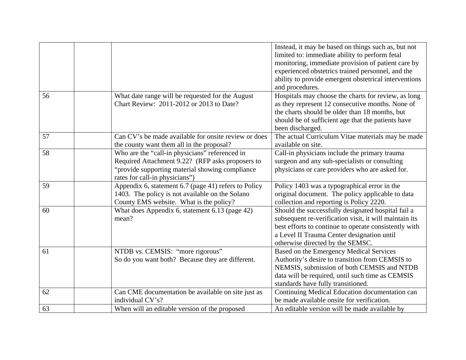|    |                                                      | Instead, it may be based on things such as, but not    |
|----|------------------------------------------------------|--------------------------------------------------------|
|    |                                                      | limited to: immediate ability to perform fetal         |
|    |                                                      | monitoring, immediate provision of patient care by     |
|    |                                                      | experienced obstetrics trained personnel, and the      |
|    |                                                      | ability to provide emergent obstetrical interventions  |
|    |                                                      | and procedures.                                        |
|    |                                                      |                                                        |
| 56 | What date range will be requested for the August     | Hospitals may choose the charts for review, as long    |
|    | Chart Review: 2011-2012 or 2013 to Date?             | as they represent 12 consecutive months. None of       |
|    |                                                      | the charts should be older than 18 months, but         |
|    |                                                      | should be of sufficient age that the patients have     |
|    |                                                      | been discharged.                                       |
| 57 | Can CV's be made available for onsite review or does | The actual Curriculum Vitae materials may be made      |
|    | the county want them all in the proposal?            | available on site.                                     |
| 58 | Who are the "call-in physicians" referenced in       | Call-in physicians include the primary trauma          |
|    | Required Attachment 9.22? (RFP asks proposers to     | surgeon and any sub-specialists or consulting          |
|    | "provide supporting material showing compliance"     | physicians or care providers who are asked for.        |
|    | rates for call-in physicians")                       |                                                        |
| 59 | Appendix 6, statement 6.7 (page 41) refers to Policy | Policy 1403 was a typographical error in the           |
|    | 1403. The policy is not available on the Solano      | original document. The policy applicable to data       |
|    | County EMS website. What is the policy?              | collection and reporting is Policy 2220.               |
| 60 | What does Appendix 6, statement 6.13 (page 42)       | Should the successfully designated hospital fail a     |
|    | mean?                                                | subsequent re-verification visit, it will maintain its |
|    |                                                      | best efforts to continue to operate consistently with  |
|    |                                                      | a Level II Trauma Center designation until             |
|    |                                                      | otherwise directed by the SEMSC.                       |
| 61 | NTDB vs. CEMSIS: "more rigorous"                     | Based on the Emergency Medical Services                |
|    | So do you want both? Because they are different.     | Authority's desire to transition from CEMSIS to        |
|    |                                                      | NEMSIS, submission of both CEMSIS and NTDB             |
|    |                                                      | data will be required, until such time as CEMSIS       |
|    |                                                      | standards have fully transitioned.                     |
| 62 | Can CME documentation be available on site just as   | Continuing Medical Education documentation can         |
|    | individual CV's?                                     | be made available onsite for verification.             |
| 63 | When will an editable version of the proposed        | An editable version will be made available by          |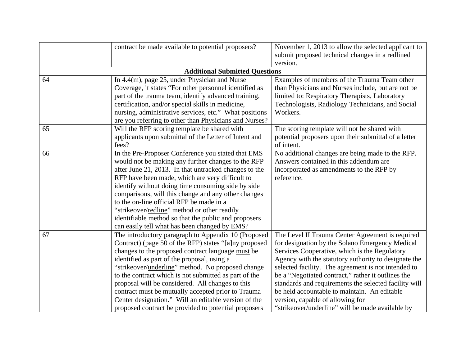|    | contract be made available to potential proposers?         | November 1, 2013 to allow the selected applicant to   |
|----|------------------------------------------------------------|-------------------------------------------------------|
|    |                                                            | submit proposed technical changes in a redlined       |
|    |                                                            | version.                                              |
|    | <b>Additional Submitted Questions</b>                      |                                                       |
| 64 | In $4.4(m)$ , page 25, under Physician and Nurse           | Examples of members of the Trauma Team other          |
|    | Coverage, it states "For other personnel identified as     | than Physicians and Nurses include, but are not be    |
|    | part of the trauma team, identify advanced training,       | limited to: Respiratory Therapists, Laboratory        |
|    | certification, and/or special skills in medicine,          | Technologists, Radiology Technicians, and Social      |
|    | nursing, administrative services, etc." What positions     | Workers.                                              |
|    | are you referring to other than Physicians and Nurses?     |                                                       |
| 65 | Will the RFP scoring template be shared with               | The scoring template will not be shared with          |
|    | applicants upon submittal of the Letter of Intent and      | potential proposers upon their submittal of a letter  |
|    | fees?                                                      | of intent.                                            |
| 66 | In the Pre-Proposer Conference you stated that EMS         | No additional changes are being made to the RFP.      |
|    | would not be making any further changes to the RFP         | Answers contained in this addendum are                |
|    | after June 21, 2013. In that untracked changes to the      | incorporated as amendments to the RFP by              |
|    | RFP have been made, which are very difficult to            | reference.                                            |
|    | identify without doing time consuming side by side         |                                                       |
|    | comparisons, will this change and any other changes        |                                                       |
|    | to the on-line official RFP be made in a                   |                                                       |
|    | "strikeover/redline" method or other readily               |                                                       |
|    | identifiable method so that the public and proposers       |                                                       |
|    | can easily tell what has been changed by EMS?              |                                                       |
| 67 | The introductory paragraph to Appendix 10 (Proposed        | The Level II Trauma Center Agreement is required      |
|    | Contract) (page 50 of the RFP) states "[a]ny proposed      | for designation by the Solano Emergency Medical       |
|    | changes to the proposed contract language must be          | Services Cooperative, which is the Regulatory         |
|    | identified as part of the proposal, using a                | Agency with the statutory authority to designate the  |
|    | "strikeover/ <i>underline</i> " method. No proposed change | selected facility. The agreement is not intended to   |
|    | to the contract which is not submitted as part of the      | be a "Negotiated contract," rather it outlines the    |
|    | proposal will be considered. All changes to this           | standards and requirements the selected facility will |
|    | contract must be mutually accepted prior to Trauma         | be held accountable to maintain. An editable          |
|    | Center designation." Will an editable version of the       | version, capable of allowing for                      |
|    | proposed contract be provided to potential proposers       | "strikeover/underline" will be made available by      |